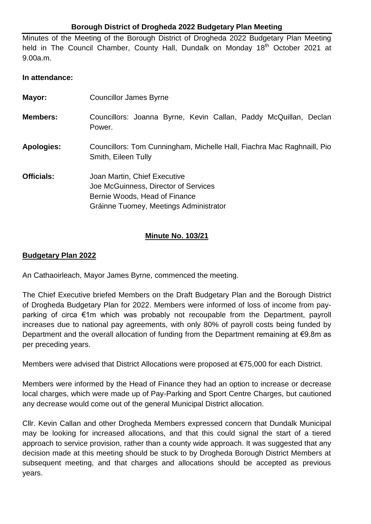## **Borough District of Drogheda 2022 Budgetary Plan Meeting**

Minutes of the Meeting of the Borough District of Drogheda 2022 Budgetary Plan Meeting held in The Council Chamber, County Hall, Dundalk on Monday 18<sup>th</sup> October 2021 at 9.00a.m.

## **In attendance:**

| Mayor:            | <b>Councillor James Byrne</b>                                                                                                                   |
|-------------------|-------------------------------------------------------------------------------------------------------------------------------------------------|
| <b>Members:</b>   | Councillors: Joanna Byrne, Kevin Callan, Paddy McQuillan, Declan<br>Power.                                                                      |
| <b>Apologies:</b> | Councillors: Tom Cunningham, Michelle Hall, Fiachra Mac Raghnaill, Pio<br>Smith, Eileen Tully                                                   |
| Officials:        | Joan Martin, Chief Executive<br>Joe McGuinness, Director of Services<br>Bernie Woods, Head of Finance<br>Gráinne Tuomey, Meetings Administrator |

## **Minute No. 103/21**

## **Budgetary Plan 2022**

An Cathaoirleach, Mayor James Byrne, commenced the meeting.

The Chief Executive briefed Members on the Draft Budgetary Plan and the Borough District of Drogheda Budgetary Plan for 2022. Members were informed of loss of income from payparking of circa €1m which was probably not recoupable from the Department, payroll increases due to national pay agreements, with only 80% of payroll costs being funded by Department and the overall allocation of funding from the Department remaining at €9.8m as per preceding years.

Members were advised that District Allocations were proposed at €75,000 for each District.

Members were informed by the Head of Finance they had an option to increase or decrease local charges, which were made up of Pay-Parking and Sport Centre Charges, but cautioned any decrease would come out of the general Municipal District allocation.

Cllr. Kevin Callan and other Drogheda Members expressed concern that Dundalk Municipal may be looking for increased allocations, and that this could signal the start of a tiered approach to service provision, rather than a county wide approach. It was suggested that any decision made at this meeting should be stuck to by Drogheda Borough District Members at subsequent meeting, and that charges and allocations should be accepted as previous years.